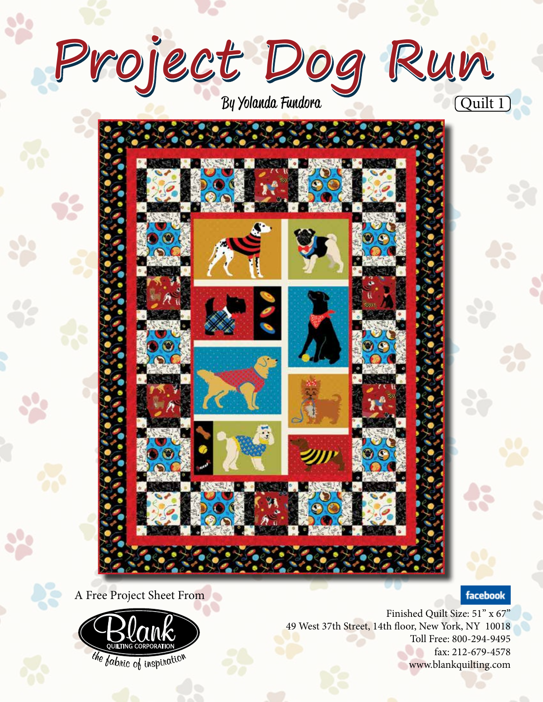

A Free Project Sheet From



Finished Quilt Size: 51" x 67" 49 West 37th Street, 14th floor, New York, NY 10018 Toll Free: 800-294-9495 fax: 212-679-4578 www.blankquilting.com

facebook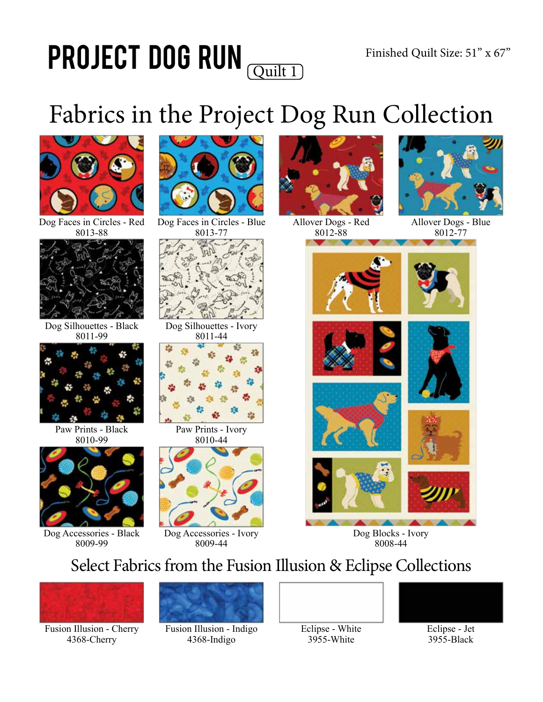### Project Dog Run Quilt 1

## Fabrics in the Project Dog Run Collection



#### Dog Faces in Circles - Red 8013-88



Dog Silhouettes - Black 8011-99



Paw Prints - Black 8010-99



Dog Accessories - Black 8009-99



Dog Faces in Circles - Blue 8013-77



Dog Silhouettes - Ivory 8011-44



Paw Prints - Ivory 8010-44



Dog Accessories - Ivory 8009-44



Allover Dogs - Red 8012-88



Allover Dogs - Blue 8012-77







Dog Blocks - Ivory 8008-44

### Select Fabrics from the Fusion Illusion & Eclipse Collections



Fusion Illusion - Cherry 4368-Cherry



Fusion Illusion - Indigo 4368-Indigo



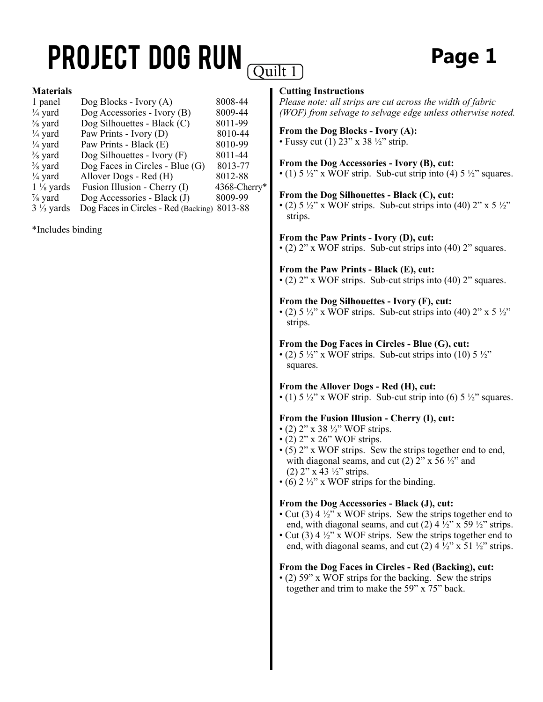## **PROJECT DOG RUN**

### **Page 1**

#### **Materials**

| 1 panel              | Dog Blocks - Ivory $(A)$             | 8008-44      |
|----------------------|--------------------------------------|--------------|
| $\frac{1}{4}$ yard   | Dog Accessories - Ivory (B)          | 8009-44      |
| $\frac{3}{8}$ yard   | Dog Silhouettes - Black (C)          | 8011-99      |
| $\frac{1}{4}$ yard   | Paw Prints - Ivory (D)               | 8010-44      |
| $\frac{1}{4}$ yard   | Paw Prints - Black (E)               | 8010-99      |
| $\frac{3}{8}$ yard   | Dog Silhouettes - Ivory $(F)$        | 8011-44      |
| $\frac{3}{8}$ yard   | Dog Faces in Circles - Blue $(G)$    | 8013-77      |
| $\frac{1}{4}$ yard   | Allover Dogs - Red (H)               | 8012-88      |
| $1\frac{1}{8}$ yards | Fusion Illusion - Cherry (I)         | 4368-Cherry* |
| $\frac{7}{8}$ yard   | Dog Accessories - Black (J)          | 8009-99      |
| $3\frac{1}{3}$ yards | Dog Faces in Circles - Red (Backing) | 8013-88      |

\*Includes binding

#### **Cutting Instructions**

*Please note: all strips are cut across the width of fabric (WOF) from selvage to selvage edge unless otherwise noted.*

#### **From the Dog Blocks - Ivory (A):** • Fussy cut  $(1)$  23" x 38  $\frac{1}{2}$ " strip.

**From the Dog Accessories - Ivory (B), cut:** • (1)  $5\frac{1}{2}$ " x WOF strip. Sub-cut strip into (4)  $5\frac{1}{2}$ " squares.

#### **From the Dog Silhouettes - Black (C), cut:**

• (2)  $5\frac{1}{2}$ " x WOF strips. Sub-cut strips into (40)  $2$ " x  $5\frac{1}{2}$ " strips.

#### **From the Paw Prints - Ivory (D), cut:**

• (2) 2" x WOF strips. Sub-cut strips into (40) 2" squares.

### **From the Paw Prints - Black (E), cut:**

• (2) 2" x WOF strips. Sub-cut strips into (40) 2" squares.

#### **From the Dog Silhouettes - Ivory (F), cut:**

• (2)  $5\frac{1}{2}$ " x WOF strips. Sub-cut strips into (40)  $2$ " x  $5\frac{1}{2}$ " strips.

#### **From the Dog Faces in Circles - Blue (G), cut:**

• (2)  $5\frac{1}{2}$ " x WOF strips. Sub-cut strips into (10)  $5\frac{1}{2}$ " squares.

#### **From the Allover Dogs - Red (H), cut:**

• (1)  $5\frac{1}{2}$ " x WOF strip. Sub-cut strip into (6)  $5\frac{1}{2}$ " squares.

#### **From the Fusion Illusion - Cherry (I), cut:**

- (2) 2" x 38  $\frac{1}{2}$ " WOF strips.
- $\cdot$  (2) 2" x 26" WOF strips.
- (5) 2" x WOF strips. Sew the strips together end to end, with diagonal seams, and cut (2)  $2''$  x 56  $\frac{1}{2}$  and (2)  $2$ " x 43  $\frac{1}{2}$ " strips.
- (6)  $2\frac{1}{2}$ " x WOF strips for the binding.

#### **From the Dog Accessories - Black (J), cut:**

- Cut (3)  $4\frac{1}{2}$ " x WOF strips. Sew the strips together end to end, with diagonal seams, and cut (2)  $4\frac{1}{2}$ " x 59  $\frac{1}{2}$ " strips.
- Cut (3)  $4\frac{1}{2}$ " x WOF strips. Sew the strips together end to end, with diagonal seams, and cut (2)  $4\frac{1}{2}$ " x 51  $\frac{1}{2}$ " strips.

#### **From the Dog Faces in Circles - Red (Backing), cut:**

• (2) 59" x WOF strips for the backing. Sew the strips together and trim to make the 59" x 75" back.